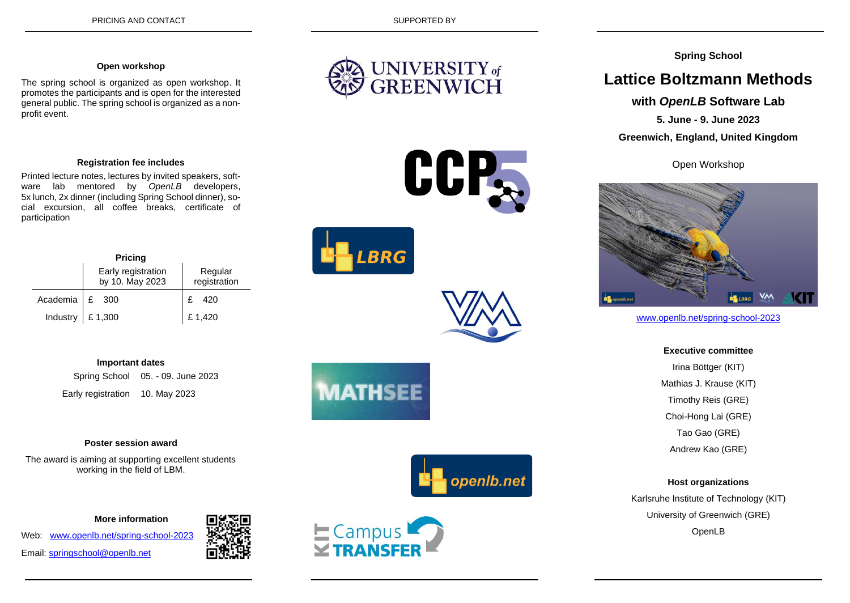#### **Open workshop**

The spring school is organized as open workshop. It promotes the participants and is open for the interested general public. The spring school is organized as a nonprofit event.

#### **Registration fee includes**

Printed lecture notes, lectures by invited speakers, software lab mentored by *OpenLB* developers, 5x lunch, 2x dinner (including Spring School dinner), social excursion, all coffee breaks, certificate of participation

| <b>Pricing</b> |                                   |                                       |                         |
|----------------|-----------------------------------|---------------------------------------|-------------------------|
|                |                                   | Early registration<br>by 10. May 2023 | Regular<br>registration |
|                | Academia £ 300                    |                                       | 420                     |
|                | Industry $\left  \right.$ £ 1,300 |                                       | £1,420                  |

# **Important dates**

Spring School 05. - 09. June 2023 Early registration 10. May 2023

#### **Poster session award**

The award is aiming at supporting excellent students working in the field of LBM.

 **More information**

Web: [www.openlb.net/spring-school-2023](http://www.openlb.net/spring-school-2023) Email: [springschool@openlb.net](mailto:springschool@openlb.net)

















# **Spring School**

# **Lattice Boltzmann Methods**

# **with** *OpenLB* **Software Lab**

**5. June - 9. June 2023**

**Greenwich, England, United Kingdom**

Open Workshop



www.openlb.net/spring-school-2023

**Executive committee** Irina Böttger (KIT) Mathias J. Krause (KIT) Timothy Reis (GRE) Choi-Hong Lai (GRE) Tao Gao (GRE) Andrew Kao (GRE)

#### **Host organizations**

Karlsruhe Institute of Technology (KIT) University of Greenwich (GRE) OpenLB